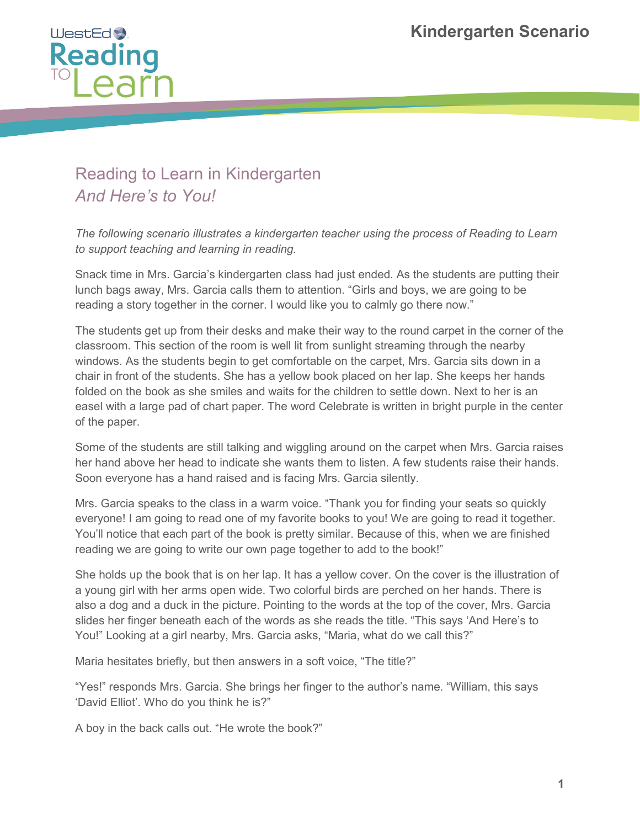

## Reading to Learn in Kindergarten *And Here's to You!*

*The following scenario illustrates a kindergarten teacher using the process of Reading to Learn to support teaching and learning in reading.* 

Snack time in Mrs. Garcia's kindergarten class had just ended. As the students are putting their lunch bags away, Mrs. Garcia calls them to attention. "Girls and boys, we are going to be reading a story together in the corner. I would like you to calmly go there now."

The students get up from their desks and make their way to the round carpet in the corner of the classroom. This section of the room is well lit from sunlight streaming through the nearby windows. As the students begin to get comfortable on the carpet, Mrs. Garcia sits down in a chair in front of the students. She has a yellow book placed on her lap. She keeps her hands folded on the book as she smiles and waits for the children to settle down. Next to her is an easel with a large pad of chart paper. The word Celebrate is written in bright purple in the center of the paper.

Some of the students are still talking and wiggling around on the carpet when Mrs. Garcia raises her hand above her head to indicate she wants them to listen. A few students raise their hands. Soon everyone has a hand raised and is facing Mrs. Garcia silently.

Mrs. Garcia speaks to the class in a warm voice. "Thank you for finding your seats so quickly everyone! I am going to read one of my favorite books to you! We are going to read it together. You'll notice that each part of the book is pretty similar. Because of this, when we are finished reading we are going to write our own page together to add to the book!"

She holds up the book that is on her lap. It has a yellow cover. On the cover is the illustration of a young girl with her arms open wide. Two colorful birds are perched on her hands. There is also a dog and a duck in the picture. Pointing to the words at the top of the cover, Mrs. Garcia slides her finger beneath each of the words as she reads the title. "This says 'And Here's to You!" Looking at a girl nearby, Mrs. Garcia asks, "Maria, what do we call this?"

Maria hesitates briefly, but then answers in a soft voice, "The title?"

"Yes!" responds Mrs. Garcia. She brings her finger to the author's name. "William, this says 'David Elliot'. Who do you think he is?"

A boy in the back calls out. "He wrote the book?"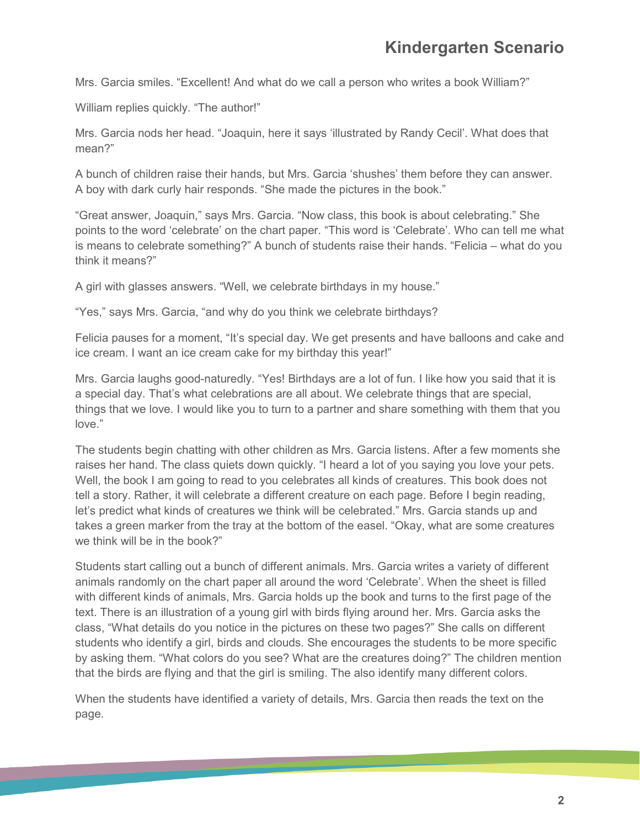Mrs. Garcia smiles. "Excellent! And what do we call a person who writes a book William?"

William replies quickly. "The author!"

Mrs. Garcia nods her head. "Joaquin, here it says 'illustrated by Randy Cecil'. What does that mean?"

A bunch of children raise their hands, but Mrs. Garcia 'shushes' them before they can answer. A boy with dark curly hair responds. "She made the pictures in the book."

"Great answer, Joaquin," says Mrs. Garcia. "Now class, this book is about celebrating." She points to the word 'celebrate' on the chart paper. "This word is 'Celebrate'. Who can tell me what is means to celebrate something?" A bunch of students raise their hands. "Felicia – what do you think it means?"

A girl with glasses answers. "Well, we celebrate birthdays in my house."

"Yes," says Mrs. Garcia, "and why do you think we celebrate birthdays?

Felicia pauses for a moment, "It's special day. We get presents and have balloons and cake and ice cream. I want an ice cream cake for my birthday this year!"

Mrs. Garcia laughs good-naturedly. "Yes! Birthdays are a lot of fun. I like how you said that it is a special day. That's what celebrations are all about. We celebrate things that are special, things that we love. I would like you to turn to a partner and share something with them that you love."

The students begin chatting with other children as Mrs. Garcia listens. After a few moments she raises her hand. The class quiets down quickly. "I heard a lot of you saying you love your pets. Well, the book I am going to read to you celebrates all kinds of creatures. This book does not tell a story. Rather, it will celebrate a different creature on each page. Before I begin reading, let's predict what kinds of creatures we think will be celebrated." Mrs. Garcia stands up and takes a green marker from the tray at the bottom of the easel. "Okay, what are some creatures we think will be in the book?"

Students start calling out a bunch of different animals. Mrs. Garcia writes a variety of different animals randomly on the chart paper all around the word 'Celebrate'. When the sheet is filled with different kinds of animals, Mrs. Garcia holds up the book and turns to the first page of the text. There is an illustration of a young girl with birds flying around her. Mrs. Garcia asks the class, "What details do you notice in the pictures on these two pages?" She calls on different students who identify a girl, birds and clouds. She encourages the students to be more specific by asking them. "What colors do you see? What are the creatures doing?" The children mention that the birds are flying and that the girl is smiling. The also identify many different colors.

When the students have identified a variety of details, Mrs. Garcia then reads the text on the page.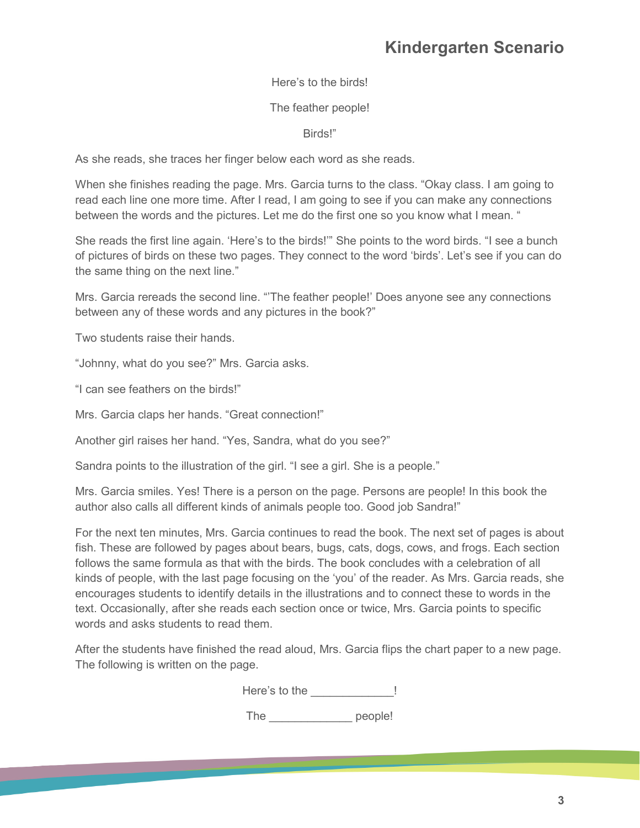Here's to the birds!

## The feather people!

Birds!"

As she reads, she traces her finger below each word as she reads.

When she finishes reading the page. Mrs. Garcia turns to the class. "Okay class. I am going to read each line one more time. After I read, I am going to see if you can make any connections between the words and the pictures. Let me do the first one so you know what I mean. "

She reads the first line again. 'Here's to the birds!'" She points to the word birds. "I see a bunch of pictures of birds on these two pages. They connect to the word 'birds'. Let's see if you can do the same thing on the next line."

Mrs. Garcia rereads the second line. "'The feather people!' Does anyone see any connections between any of these words and any pictures in the book?"

Two students raise their hands.

"Johnny, what do you see?" Mrs. Garcia asks.

"I can see feathers on the birds!"

Mrs. Garcia claps her hands. "Great connection!"

Another girl raises her hand. "Yes, Sandra, what do you see?"

Sandra points to the illustration of the girl. "I see a girl. She is a people."

Mrs. Garcia smiles. Yes! There is a person on the page. Persons are people! In this book the author also calls all different kinds of animals people too. Good job Sandra!"

For the next ten minutes, Mrs. Garcia continues to read the book. The next set of pages is about fish. These are followed by pages about bears, bugs, cats, dogs, cows, and frogs. Each section follows the same formula as that with the birds. The book concludes with a celebration of all kinds of people, with the last page focusing on the 'you' of the reader. As Mrs. Garcia reads, she encourages students to identify details in the illustrations and to connect these to words in the text. Occasionally, after she reads each section once or twice, Mrs. Garcia points to specific words and asks students to read them.

After the students have finished the read aloud, Mrs. Garcia flips the chart paper to a new page. The following is written on the page.

| Here's to the |  |
|---------------|--|
|---------------|--|

The people!